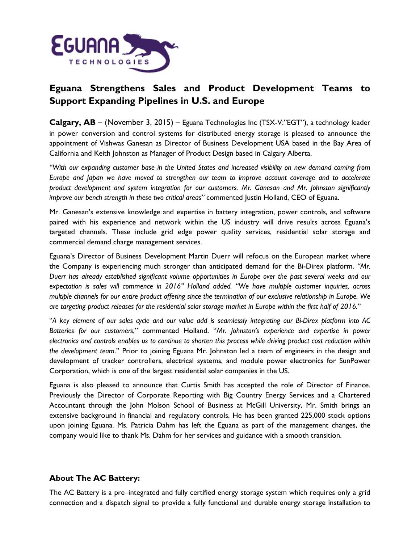

## **Eguana Strengthens Sales and Product Development Teams to Support Expanding Pipelines in U.S. and Europe**

**Calgary, AB** – (November 3, 2015) – Eguana Technologies Inc (TSX-V:"EGT"), a technology leader in power conversion and control systems for distributed energy storage is pleased to announce the appointment of Vishwas Ganesan as Director of Business Development USA based in the Bay Area of California and Keith Johnston as Manager of Product Design based in Calgary Alberta.

*"With our expanding customer base in the United States and increased visibility on new demand coming from Europe and Japan we have moved to strengthen our team to improve account coverage and to accelerate product development and system integration for our customers. Mr. Ganesan and Mr. Johnston significantly improve our bench strength in these two critical areas"* commented Justin Holland, CEO of Eguana.

Mr. Ganesan's extensive knowledge and expertise in battery integration, power controls, and software paired with his experience and network within the US industry will drive results across Eguana's targeted channels. These include grid edge power quality services, residential solar storage and commercial demand charge management services.

Eguana's Director of Business Development Martin Duerr will refocus on the European market where the Company is experiencing much stronger than anticipated demand for the Bi-Direx platform. *"Mr. Duerr has already established significant volume opportunities in Europe over the past several weeks and our expectation is sales will commence in 2016" Holland added. "We have multiple customer inquiries, across multiple channels for our entire product offering since the termination of our exclusive relationship in Europe. We are targeting product releases for the residential solar storage market in Europe within the first half of 2016.*"

"*A key element of our sales cycle and our value add is seamlessly integrating our Bi-Direx platform into AC Batteries for our customers*," commented Holland. "*Mr. Johnston's experience and expertise in power electronics and controls enables us to continue to shorten this process while driving product cost reduction within the development team*." Prior to joining Eguana Mr. Johnston led a team of engineers in the design and development of tracker controllers, electrical systems, and module power electronics for SunPower Corporation, which is one of the largest residential solar companies in the US.

Eguana is also pleased to announce that Curtis Smith has accepted the role of Director of Finance. Previously the Director of Corporate Reporting with Big Country Energy Services and a Chartered Accountant through the John Molson School of Business at McGill University, Mr. Smith brings an extensive background in financial and regulatory controls. He has been granted 225,000 stock options upon joining Eguana. Ms. Patricia Dahm has left the Eguana as part of the management changes, the company would like to thank Ms. Dahm for her services and guidance with a smooth transition.

## **About The AC Battery:**

The AC Battery is a pre–integrated and fully certified energy storage system which requires only a grid connection and a dispatch signal to provide a fully functional and durable energy storage installation to